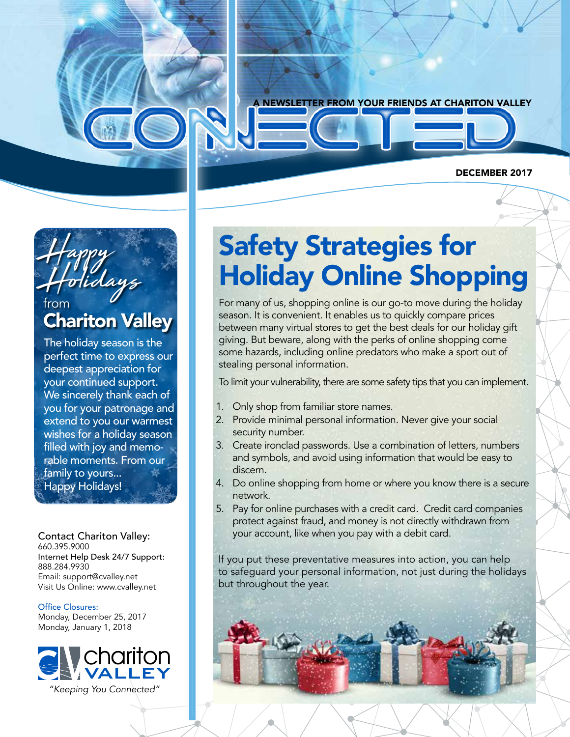

### Happy Holidays from Chariton Valley

The holiday season is the perfect time to express our deepest appreciation for your continued support. We sincerely thank each of you for your patronage and extend to you our warmest wishes for a holiday season filled with joy and memorable moments. From our family to yours... Happy Holidays!

Contact Chariton Valley: 660.395.9000 Internet Help Desk 24/7 Support: 888.284.9930 Email: support@cvalley.net Visit Us Online: www.cvalley.net

Office Closures: Monday, December 25, 2017 Monday, January 1, 2018



*"Keeping You Connected"*

### Safety Strategies for Holiday Online Shopping

For many of us, shopping online is our go-to move during the holiday season. It is convenient. It enables us to quickly compare prices between many virtual stores to get the best deals for our holiday gift giving. But beware, along with the perks of online shopping come some hazards, including online predators who make a sport out of stealing personal information.

To limit your vulnerability, there are some safety tips that you can implement.

- 1. Only shop from familiar store names.
- 2. Provide minimal personal information. Never give your social security number.
- 3. Create ironclad passwords. Use a combination of letters, numbers and symbols, and avoid using information that would be easy to discern.
- 4. Do online shopping from home or where you know there is a secure network.
- 5. Pay for online purchases with a credit card. Credit card companies protect against fraud, and money is not directly withdrawn from your account, like when you pay with a debit card.

If you put these preventative measures into action, you can help to safeguard your personal information, not just during the holidays but throughout the year.